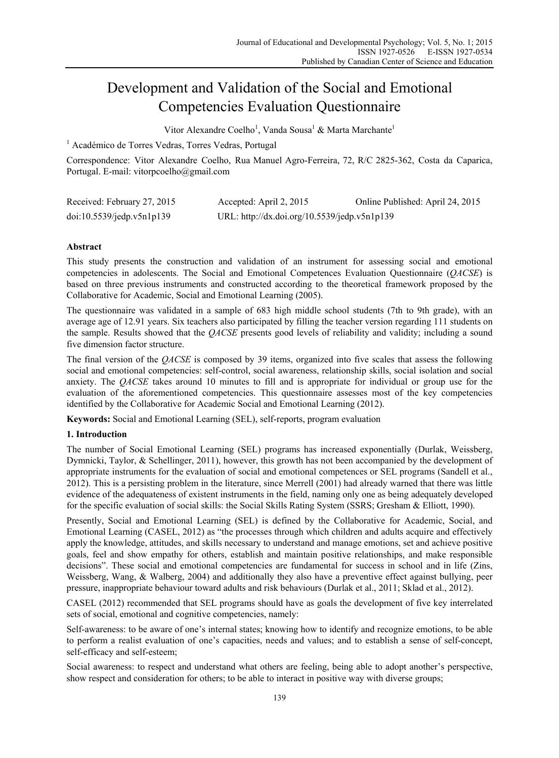# Development and Validation of the Social and Emotional Competencies Evaluation Questionnaire

Vitor Alexandre Coelho<sup>1</sup>, Vanda Sousa<sup>1</sup> & Marta Marchante<sup>1</sup>

<sup>1</sup> Académico de Torres Vedras, Torres Vedras, Portugal

Correspondence: Vitor Alexandre Coelho, Rua Manuel Agro-Ferreira, 72, R/C 2825-362, Costa da Caparica, Portugal. E-mail: vitorpcoelho@gmail.com

| Received: February 27, 2015  | Accepted: April 2, 2015                      | Online Published: April 24, 2015 |
|------------------------------|----------------------------------------------|----------------------------------|
| $doi:10.5539/j$ edp.v5n1p139 | URL: http://dx.doi.org/10.5539/jedp.v5n1p139 |                                  |

# **Abstract**

This study presents the construction and validation of an instrument for assessing social and emotional competencies in adolescents. The Social and Emotional Competences Evaluation Questionnaire (*QACSE*) is based on three previous instruments and constructed according to the theoretical framework proposed by the Collaborative for Academic, Social and Emotional Learning (2005).

The questionnaire was validated in a sample of 683 high middle school students (7th to 9th grade), with an average age of 12.91 years. Six teachers also participated by filling the teacher version regarding 111 students on the sample. Results showed that the *QACSE* presents good levels of reliability and validity; including a sound five dimension factor structure.

The final version of the *QACSE* is composed by 39 items, organized into five scales that assess the following social and emotional competencies: self-control, social awareness, relationship skills, social isolation and social anxiety. The *QACSE* takes around 10 minutes to fill and is appropriate for individual or group use for the evaluation of the aforementioned competencies. This questionnaire assesses most of the key competencies identified by the Collaborative for Academic Social and Emotional Learning (2012).

**Keywords:** Social and Emotional Learning (SEL), self-reports, program evaluation

# **1. Introduction**

The number of Social Emotional Learning (SEL) programs has increased exponentially (Durlak, Weissberg, Dymnicki, Taylor, & Schellinger, 2011), however, this growth has not been accompanied by the development of appropriate instruments for the evaluation of social and emotional competences or SEL programs (Sandell et al., 2012). This is a persisting problem in the literature, since Merrell (2001) had already warned that there was little evidence of the adequateness of existent instruments in the field, naming only one as being adequately developed for the specific evaluation of social skills: the Social Skills Rating System (SSRS; Gresham & Elliott, 1990).

Presently, Social and Emotional Learning (SEL) is defined by the Collaborative for Academic, Social, and Emotional Learning (CASEL, 2012) as "the processes through which children and adults acquire and effectively apply the knowledge, attitudes, and skills necessary to understand and manage emotions, set and achieve positive goals, feel and show empathy for others, establish and maintain positive relationships, and make responsible decisions". These social and emotional competencies are fundamental for success in school and in life (Zins, Weissberg, Wang, & Walberg, 2004) and additionally they also have a preventive effect against bullying, peer pressure, inappropriate behaviour toward adults and risk behaviours (Durlak et al., 2011; Sklad et al., 2012).

CASEL (2012) recommended that SEL programs should have as goals the development of five key interrelated sets of social, emotional and cognitive competencies, namely:

Self-awareness: to be aware of one's internal states; knowing how to identify and recognize emotions, to be able to perform a realist evaluation of one's capacities, needs and values; and to establish a sense of self-concept, self-efficacy and self-esteem;

Social awareness: to respect and understand what others are feeling, being able to adopt another's perspective, show respect and consideration for others; to be able to interact in positive way with diverse groups;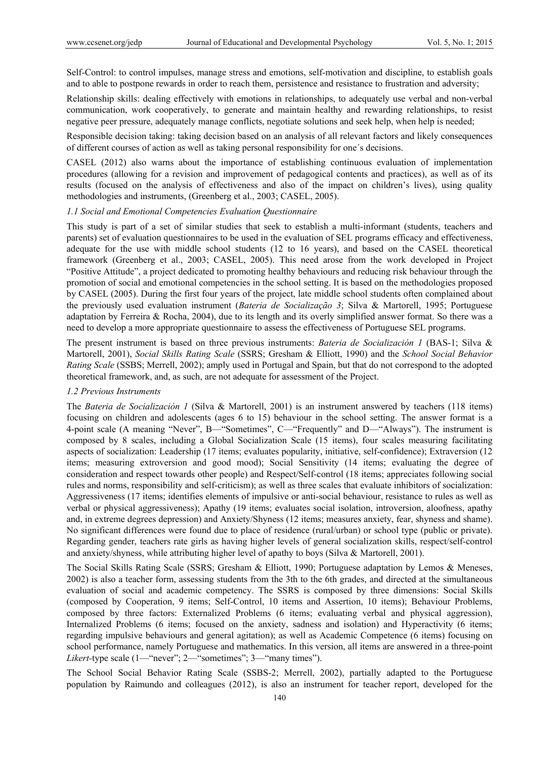Self-Control: to control impulses, manage stress and emotions, self-motivation and discipline, to establish goals and to able to postpone rewards in order to reach them, persistence and resistance to frustration and adversity;

Relationship skills: dealing effectively with emotions in relationships, to adequately use verbal and non-verbal communication, work cooperatively, to generate and maintain healthy and rewarding relationships, to resist negative peer pressure, adequately manage conflicts, negotiate solutions and seek help, when help is needed;

Responsible decision taking: taking decision based on an analysis of all relevant factors and likely consequences of different courses of action as well as taking personal responsibility for one´s decisions.

CASEL (2012) also warns about the importance of establishing continuous evaluation of implementation procedures (allowing for a revision and improvement of pedagogical contents and practices), as well as of its results (focused on the analysis of effectiveness and also of the impact on children's lives), using quality methodologies and instruments, (Greenberg et al., 2003; CASEL, 2005).

#### *1.1 Social and Emotional Competencies Evaluation Questionnaire*

This study is part of a set of similar studies that seek to establish a multi-informant (students, teachers and parents) set of evaluation questionnaires to be used in the evaluation of SEL programs efficacy and effectiveness, adequate for the use with middle school students (12 to 16 years), and based on the CASEL theoretical framework (Greenberg et al., 2003; CASEL, 2005). This need arose from the work developed in Project "Positive Attitude", a project dedicated to promoting healthy behaviours and reducing risk behaviour through the promotion of social and emotional competencies in the school setting. It is based on the methodologies proposed by CASEL (2005). During the first four years of the project, late middle school students often complained about the previously used evaluation instrument (*Bateria de Socialização 3*; Silva & Martorell, 1995; Portuguese adaptation by Ferreira & Rocha, 2004), due to its length and its overly simplified answer format. So there was a need to develop a more appropriate questionnaire to assess the effectiveness of Portuguese SEL programs.

The present instrument is based on three previous instruments: *Bateria de Socialización 1* (BAS-1; Silva & Martorell, 2001), *Social Skills Rating Scale* (SSRS; Gresham & Elliott, 1990) and the *School Social Behavior Rating Scale* (SSBS; Merrell, 2002); amply used in Portugal and Spain, but that do not correspond to the adopted theoretical framework, and, as such, are not adequate for assessment of the Project.

## *1.2 Previous Instruments*

The *Bateria de Socialización 1* (Silva & Martorell, 2001) is an instrument answered by teachers (118 items) focusing on children and adolescents (ages 6 to 15) behaviour in the school setting. The answer format is a 4-point scale (A meaning "Never", B—"Sometimes", C—"Frequently" and D—"Always"). The instrument is composed by 8 scales, including a Global Socialization Scale (15 items), four scales measuring facilitating aspects of socialization: Leadership (17 items; evaluates popularity, initiative, self-confidence); Extraversion (12 items; measuring extroversion and good mood); Social Sensitivity (14 items; evaluating the degree of consideration and respect towards other people) and Respect/Self-control (18 items; appreciates following social rules and norms, responsibility and self-criticism); as well as three scales that evaluate inhibitors of socialization: Aggressiveness (17 items; identifies elements of impulsive or anti-social behaviour, resistance to rules as well as verbal or physical aggressiveness); Apathy (19 items; evaluates social isolation, introversion, aloofness, apathy and, in extreme degrees depression) and Anxiety/Shyness (12 items; measures anxiety, fear, shyness and shame). No significant differences were found due to place of residence (rural/urban) or school type (public or private). Regarding gender, teachers rate girls as having higher levels of general socialization skills, respect/self-control and anxiety/shyness, while attributing higher level of apathy to boys (Silva & Martorell, 2001).

The Social Skills Rating Scale (SSRS; Gresham & Elliott, 1990; Portuguese adaptation by Lemos & Meneses, 2002) is also a teacher form, assessing students from the 3th to the 6th grades, and directed at the simultaneous evaluation of social and academic competency. The SSRS is composed by three dimensions: Social Skills (composed by Cooperation, 9 items; Self-Control, 10 items and Assertion, 10 items); Behaviour Problems, composed by three factors: Externalized Problems (6 items; evaluating verbal and physical aggression), Internalized Problems (6 items; focused on the anxiety, sadness and isolation) and Hyperactivity (6 items; regarding impulsive behaviours and general agitation); as well as Academic Competence (6 items) focusing on school performance, namely Portuguese and mathematics. In this version, all items are answered in a three-point *Likert-*type scale (1—"never"; 2—"sometimes"; 3—"many times").

The School Social Behavior Rating Scale (SSBS-2; Merrell, 2002), partially adapted to the Portuguese population by Raimundo and colleagues (2012), is also an instrument for teacher report, developed for the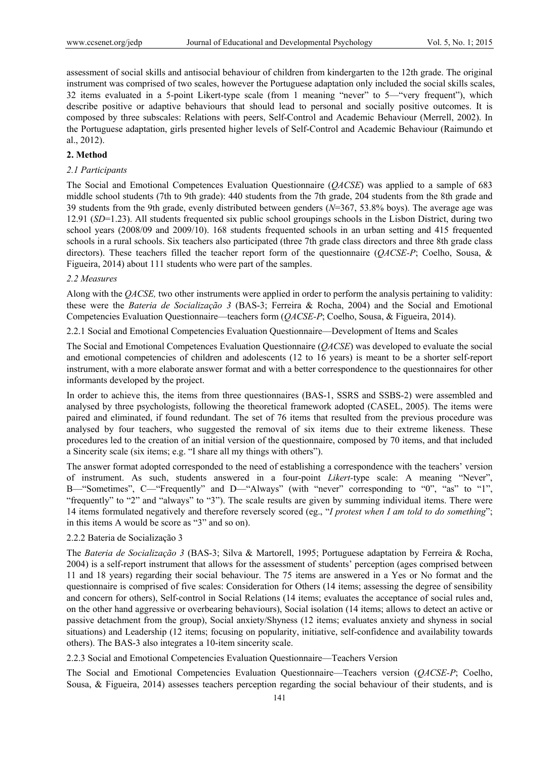assessment of social skills and antisocial behaviour of children from kindergarten to the 12th grade. The original instrument was comprised of two scales, however the Portuguese adaptation only included the social skills scales, 32 items evaluated in a 5-point Likert-type scale (from 1 meaning "never" to 5—"very frequent"), which describe positive or adaptive behaviours that should lead to personal and socially positive outcomes. It is composed by three subscales: Relations with peers, Self-Control and Academic Behaviour (Merrell, 2002). In the Portuguese adaptation, girls presented higher levels of Self-Control and Academic Behaviour (Raimundo et al., 2012).

#### **2. Method**

#### *2.1 Participants*

The Social and Emotional Competences Evaluation Questionnaire (*QACSE*) was applied to a sample of 683 middle school students (7th to 9th grade): 440 students from the 7th grade, 204 students from the 8th grade and 39 students from the 9th grade, evenly distributed between genders (*N*=367, 53.8% boys). The average age was 12.91 (*SD*=1.23). All students frequented six public school groupings schools in the Lisbon District, during two school years (2008/09 and 2009/10). 168 students frequented schools in an urban setting and 415 frequented schools in a rural schools. Six teachers also participated (three 7th grade class directors and three 8th grade class directors). These teachers filled the teacher report form of the questionnaire (*QACSE-P*; Coelho, Sousa, & Figueira, 2014) about 111 students who were part of the samples.

#### *2.2 Measures*

Along with the *QACSE,* two other instruments were applied in order to perform the analysis pertaining to validity: these were the *Bateria de Socialização 3* (BAS-3; Ferreira & Rocha, 2004) and the Social and Emotional Competencies Evaluation Questionnaire—teachers form (*QACSE-P*; Coelho, Sousa, & Figueira, 2014).

2.2.1 Social and Emotional Competencies Evaluation Questionnaire—Development of Items and Scales

The Social and Emotional Competences Evaluation Questionnaire (*QACSE*) was developed to evaluate the social and emotional competencies of children and adolescents (12 to 16 years) is meant to be a shorter self-report instrument, with a more elaborate answer format and with a better correspondence to the questionnaires for other informants developed by the project.

In order to achieve this, the items from three questionnaires (BAS-1, SSRS and SSBS-2) were assembled and analysed by three psychologists, following the theoretical framework adopted (CASEL, 2005). The items were paired and eliminated, if found redundant. The set of 76 items that resulted from the previous procedure was analysed by four teachers, who suggested the removal of six items due to their extreme likeness. These procedures led to the creation of an initial version of the questionnaire, composed by 70 items, and that included a Sincerity scale (six items; e.g. "I share all my things with others").

The answer format adopted corresponded to the need of establishing a correspondence with the teachers' version of instrument. As such, students answered in a four-point *Likert-*type scale: A meaning "Never", B—"Sometimes", C—"Frequently" and D—"Always" (with "never" corresponding to "0", "as" to "1", "frequently" to "2" and "always" to "3"). The scale results are given by summing individual items. There were 14 items formulated negatively and therefore reversely scored (eg., "*I protest when I am told to do something*"; in this items A would be score as "3" and so on).

## 2.2.2 Bateria de Socialização 3

The *Bateria de Socialização 3* (BAS-3; Silva & Martorell, 1995; Portuguese adaptation by Ferreira & Rocha, 2004) is a self-report instrument that allows for the assessment of students' perception (ages comprised between 11 and 18 years) regarding their social behaviour. The 75 items are answered in a Yes or No format and the questionnaire is comprised of five scales: Consideration for Others (14 items; assessing the degree of sensibility and concern for others), Self-control in Social Relations (14 items; evaluates the acceptance of social rules and, on the other hand aggressive or overbearing behaviours), Social isolation (14 items; allows to detect an active or passive detachment from the group), Social anxiety/Shyness (12 items; evaluates anxiety and shyness in social situations) and Leadership (12 items; focusing on popularity, initiative, self-confidence and availability towards others). The BAS-3 also integrates a 10-item sincerity scale.

2.2.3 Social and Emotional Competencies Evaluation Questionnaire—Teachers Version

The Social and Emotional Competencies Evaluation Questionnaire—Teachers version (*QACSE-P*; Coelho, Sousa, & Figueira, 2014) assesses teachers perception regarding the social behaviour of their students, and is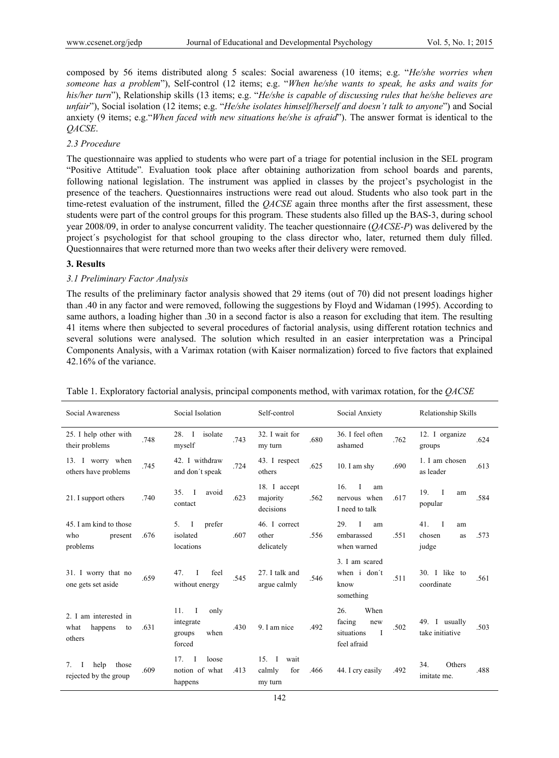composed by 56 items distributed along 5 scales: Social awareness (10 items; e.g. "*He/she worries when someone has a problem*"), Self-control (12 items; e.g. "*When he/she wants to speak, he asks and waits for his/her turn*"), Relationship skills (13 items; e.g. "*He/she is capable of discussing rules that he/she believes are unfair*"), Social isolation (12 items; e.g. "*He/she isolates himself/herself and doesn't talk to anyone*") and Social anxiety (9 items; e.g."*When faced with new situations he/she is afraid*"). The answer format is identical to the *QACSE*.

## *2.3 Procedure*

The questionnaire was applied to students who were part of a triage for potential inclusion in the SEL program "Positive Attitude"*.* Evaluation took place after obtaining authorization from school boards and parents, following national legislation. The instrument was applied in classes by the project's psychologist in the presence of the teachers. Questionnaires instructions were read out aloud. Students who also took part in the time-retest evaluation of the instrument, filled the *QACSE* again three months after the first assessment, these students were part of the control groups for this program. These students also filled up the BAS-3, during school year 2008/09, in order to analyse concurrent validity. The teacher questionnaire (*QACSE-P*) was delivered by the project´s psychologist for that school grouping to the class director who, later, returned them duly filled. Questionnaires that were returned more than two weeks after their delivery were removed.

## **3. Results**

## *3.1 Preliminary Factor Analysis*

The results of the preliminary factor analysis showed that 29 items (out of 70) did not present loadings higher than .40 in any factor and were removed, following the suggestions by Floyd and Widaman (1995). According to same authors, a loading higher than .30 in a second factor is also a reason for excluding that item. The resulting 41 items where then subjected to several procedures of factorial analysis, using different rotation technics and several solutions were analysed. The solution which resulted in an easier interpretation was a Principal Components Analysis, with a Varimax rotation (with Kaiser normalization) forced to five factors that explained 42.16% of the variance.

| Social Awareness                                                          |      | Social Isolation                                                     | Self-control |                                                   | Social Anxiety |                                                                           | Relationship Skills |                                                    |      |
|---------------------------------------------------------------------------|------|----------------------------------------------------------------------|--------------|---------------------------------------------------|----------------|---------------------------------------------------------------------------|---------------------|----------------------------------------------------|------|
| 25. I help other with<br>their problems                                   | .748 | 28.<br>$\mathbf{I}$<br>isolate<br>myself                             | .743         | 32. I wait for<br>my turn                         | .680           | 36. I feel often<br>ashamed                                               | .762                | 12. I organize<br>groups                           | .624 |
| 13. I worry when<br>others have problems                                  | .745 | 42. I withdraw<br>and don't speak                                    | .724         | 43. I respect<br>others                           | .625           | 10. I am shy                                                              | .690                | 1. I am chosen<br>as leader                        | .613 |
| 21. I support others                                                      | .740 | 35.<br>avoid<br>$\blacksquare$<br>contact                            | .623         | 18. I accept<br>majority<br>decisions             | .562           | 16.<br>T<br>am<br>nervous when<br>I need to talk                          | .617                | 19.<br>$\blacksquare$<br>am<br>popular             | .584 |
| 45. I am kind to those<br>who<br>present<br>problems                      | .676 | prefer<br>5.<br>T<br>isolated<br>locations                           | .607         | 46. I correct<br>other<br>delicately              | .556           | 29.<br>T<br>am<br>embarassed<br>when warned                               | .551                | 41.<br>$\mathbf I$<br>am<br>chosen<br>as.<br>judge | .573 |
| 31. I worry that no<br>one gets set aside                                 | .659 | feel<br>47.<br>T<br>without energy                                   | .545         | 27. I talk and<br>argue calmly                    | .546           | 3. I am scared<br>when i don't<br>know<br>something                       | .511                | 30. I like to<br>coordinate                        | .561 |
| 2. I am interested in<br>what<br>happens<br>to<br>others                  | .631 | $\mathbf{I}$<br>11.<br>only<br>integrate<br>when<br>groups<br>forced | .430         | 9. I am nice                                      | .492           | When<br>26.<br>facing<br>new<br>$\mathbf{I}$<br>situations<br>feel afraid | .502                | 49. I usually<br>take initiative                   | .503 |
| help<br>those<br>$7_{\scriptscriptstyle{\circ}}$<br>rejected by the group | .609 | 17.<br>loose<br>-1<br>notion of what<br>happens                      | .413         | wait<br>$15. \quad I$<br>for<br>calmly<br>my turn | .466           | 44. I cry easily                                                          | .492                | 34.<br>Others<br>imitate me.                       | .488 |

Table 1. Exploratory factorial analysis, principal components method, with varimax rotation, for the *QACSE*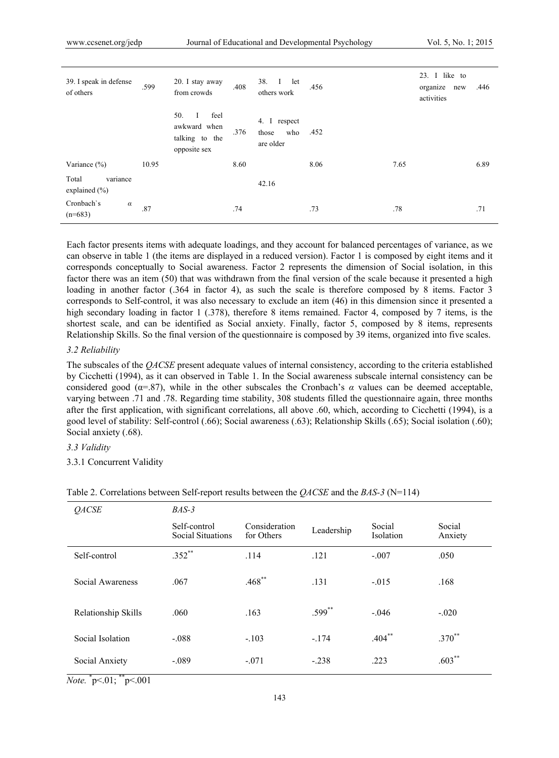| 39. I speak in defense<br>of others    | .599    | 20. I stay away<br>from crowds                                            | .408 | 38. I<br>let<br>others work               | .456 |      | 23. I like to<br>organize<br>new<br>activities | .446 |
|----------------------------------------|---------|---------------------------------------------------------------------------|------|-------------------------------------------|------|------|------------------------------------------------|------|
|                                        |         | 50.<br>feel<br>$\bf{I}$<br>awkward when<br>talking to the<br>opposite sex | .376 | 4. I respect<br>who<br>those<br>are older | .452 |      |                                                |      |
| Variance $(\% )$                       | 10.95   |                                                                           | 8.60 |                                           | 8.06 | 7.65 |                                                | 6.89 |
| variance<br>Total<br>explained $(\% )$ |         |                                                                           |      | 42.16                                     |      |      |                                                |      |
| Cronbach's<br>$\alpha$<br>$(n=683)$    | $.87\,$ |                                                                           | .74  |                                           | .73  | .78  |                                                | .71  |

Each factor presents items with adequate loadings, and they account for balanced percentages of variance, as we can observe in table 1 (the items are displayed in a reduced version). Factor 1 is composed by eight items and it corresponds conceptually to Social awareness. Factor 2 represents the dimension of Social isolation, in this factor there was an item (50) that was withdrawn from the final version of the scale because it presented a high loading in another factor (.364 in factor 4), as such the scale is therefore composed by 8 items. Factor 3 corresponds to Self-control, it was also necessary to exclude an item (46) in this dimension since it presented a high secondary loading in factor 1 (.378), therefore 8 items remained. Factor 4, composed by 7 items, is the shortest scale, and can be identified as Social anxiety. Finally, factor 5, composed by 8 items, represents Relationship Skills. So the final version of the questionnaire is composed by 39 items, organized into five scales.

#### *3.2 Reliability*

The subscales of the *QACSE* present adequate values of internal consistency, according to the criteria established by Cicchetti (1994), as it can observed in Table 1. In the Social awareness subscale internal consistency can be considered good ( $\alpha$ =.87), while in the other subscales the Cronbach's  $\alpha$  values can be deemed acceptable, varying between .71 and .78. Regarding time stability, 308 students filled the questionnaire again, three months after the first application, with significant correlations, all above .60, which, according to Cicchetti (1994), is a good level of stability: Self-control (.66); Social awareness (.63); Relationship Skills (.65); Social isolation (.60); Social anxiety (.68).

## *3.3 Validity*

3.3.1 Concurrent Validity

| <b>QACSE</b>        | $BAS-3$                                  |                             |            |                            |                   |  |
|---------------------|------------------------------------------|-----------------------------|------------|----------------------------|-------------------|--|
|                     | Self-control<br><b>Social Situations</b> | Consideration<br>for Others | Leadership | Social<br><b>Isolation</b> | Social<br>Anxiety |  |
| Self-control        | $.352***$                                | .114                        | .121       | $-.007$                    | .050              |  |
| Social Awareness    | .067                                     | $.468***$                   | .131       | $-015$                     | .168              |  |
| Relationship Skills | .060                                     | .163                        | $.599$ **  | $-.046$                    | $-.020$           |  |
| Social Isolation    | $-.088$                                  | $-.103$                     | $-174$     | $.404***$                  | $.370**$          |  |
| Social Anxiety      | $-.089$                                  | $-.071$                     | $-.238$    | .223                       | $.603***$         |  |

#### Table 2. Correlations between Self-report results between the *QACSE* and the *BAS-3* (N=114)

*Note.* \* p<.01; \*\*p<.001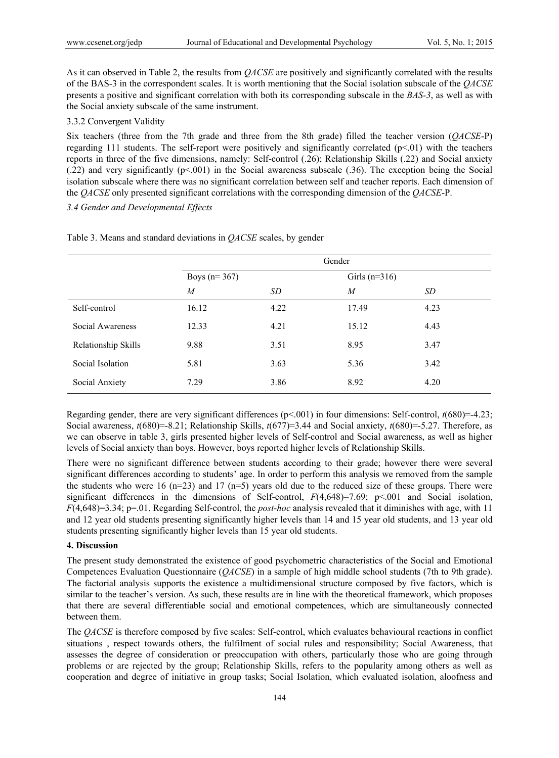As it can observed in Table 2, the results from *QACSE* are positively and significantly correlated with the results of the BAS-3 in the correspondent scales. It is worth mentioning that the Social isolation subscale of the *QACSE* presents a positive and significant correlation with both its corresponding subscale in the *BAS-3*, as well as with the Social anxiety subscale of the same instrument.

#### 3.3.2 Convergent Validity

Six teachers (three from the 7th grade and three from the 8th grade) filled the teacher version (*QACSE*-P) regarding 111 students. The self-report were positively and significantly correlated  $(p<01)$  with the teachers reports in three of the five dimensions, namely: Self-control (.26); Relationship Skills (.22) and Social anxiety (.22) and very significantly (p<.001) in the Social awareness subscale (.36). The exception being the Social isolation subscale where there was no significant correlation between self and teacher reports. Each dimension of the *QACSE* only presented significant correlations with the corresponding dimension of the *QACSE*-P.

## *3.4 Gender and Developmental Effects*

|                     | Gender         |      |                  |      |  |
|---------------------|----------------|------|------------------|------|--|
|                     | Boys $(n=367)$ |      | Girls $(n=316)$  |      |  |
|                     | M              | SD   | $\boldsymbol{M}$ | SD   |  |
| Self-control        | 16.12          | 4.22 | 17.49            | 4.23 |  |
| Social Awareness    | 12.33          | 4.21 | 15.12            | 4.43 |  |
| Relationship Skills | 9.88           | 3.51 | 8.95             | 3.47 |  |
| Social Isolation    | 5.81           | 3.63 | 5.36             | 3.42 |  |
| Social Anxiety      | 7.29           | 3.86 | 8.92             | 4.20 |  |

Table 3. Means and standard deviations in *QACSE* scales, by gender

Regarding gender, there are very significant differences (p<.001) in four dimensions: Self-control, *t*(680)=-4.23; Social awareness, *t*(680)=-8.21; Relationship Skills, *t*(677)=3.44 and Social anxiety, *t*(680)=-5.27. Therefore, as we can observe in table 3, girls presented higher levels of Self-control and Social awareness, as well as higher levels of Social anxiety than boys. However, boys reported higher levels of Relationship Skills.

There were no significant difference between students according to their grade; however there were several significant differences according to students' age. In order to perform this analysis we removed from the sample the students who were 16 ( $n=23$ ) and 17 ( $n=5$ ) years old due to the reduced size of these groups. There were significant differences in the dimensions of Self-control,  $F(4,648)=7.69$ ; p<.001 and Social isolation, *F*(4,648)=3.34; p=.01. Regarding Self-control, the *post-hoc* analysis revealed that it diminishes with age, with 11 and 12 year old students presenting significantly higher levels than 14 and 15 year old students, and 13 year old students presenting significantly higher levels than 15 year old students.

## **4. Discussion**

The present study demonstrated the existence of good psychometric characteristics of the Social and Emotional Competences Evaluation Questionnaire (*QACSE*) in a sample of high middle school students (7th to 9th grade). The factorial analysis supports the existence a multidimensional structure composed by five factors, which is similar to the teacher's version. As such, these results are in line with the theoretical framework, which proposes that there are several differentiable social and emotional competences, which are simultaneously connected between them.

The *QACSE* is therefore composed by five scales: Self-control, which evaluates behavioural reactions in conflict situations , respect towards others, the fulfilment of social rules and responsibility; Social Awareness, that assesses the degree of consideration or preoccupation with others, particularly those who are going through problems or are rejected by the group; Relationship Skills, refers to the popularity among others as well as cooperation and degree of initiative in group tasks; Social Isolation, which evaluated isolation, aloofness and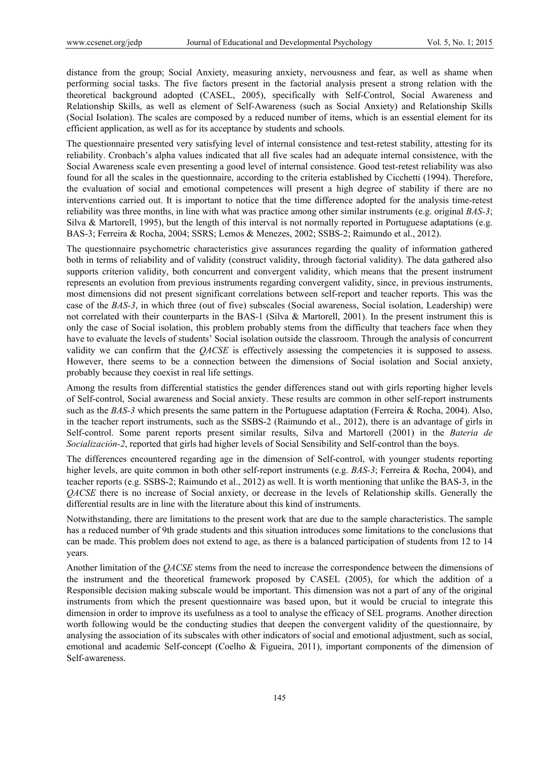distance from the group; Social Anxiety, measuring anxiety, nervousness and fear, as well as shame when performing social tasks. The five factors present in the factorial analysis present a strong relation with the theoretical background adopted (CASEL, 2005), specifically with Self-Control, Social Awareness and Relationship Skills, as well as element of Self-Awareness (such as Social Anxiety) and Relationship Skills (Social Isolation). The scales are composed by a reduced number of items, which is an essential element for its efficient application, as well as for its acceptance by students and schools.

The questionnaire presented very satisfying level of internal consistence and test-retest stability, attesting for its reliability. Cronbach's alpha values indicated that all five scales had an adequate internal consistence, with the Social Awareness scale even presenting a good level of internal consistence. Good test-retest reliability was also found for all the scales in the questionnaire, according to the criteria established by Cicchetti (1994). Therefore, the evaluation of social and emotional competences will present a high degree of stability if there are no interventions carried out. It is important to notice that the time difference adopted for the analysis time-retest reliability was three months, in line with what was practice among other similar instruments (e.g. original *BAS-3*; Silva & Martorell, 1995), but the length of this interval is not normally reported in Portuguese adaptations (e.g. BAS-3; Ferreira & Rocha, 2004; SSRS; Lemos & Menezes, 2002; SSBS-2; Raimundo et al., 2012).

The questionnaire psychometric characteristics give assurances regarding the quality of information gathered both in terms of reliability and of validity (construct validity, through factorial validity). The data gathered also supports criterion validity, both concurrent and convergent validity, which means that the present instrument represents an evolution from previous instruments regarding convergent validity, since, in previous instruments, most dimensions did not present significant correlations between self-report and teacher reports. This was the case of the *BAS-3*, in which three (out of five) subscales (Social awareness, Social isolation, Leadership) were not correlated with their counterparts in the BAS-1 (Silva & Martorell, 2001). In the present instrument this is only the case of Social isolation, this problem probably stems from the difficulty that teachers face when they have to evaluate the levels of students' Social isolation outside the classroom. Through the analysis of concurrent validity we can confirm that the *QACSE* is effectively assessing the competencies it is supposed to assess. However, there seems to be a connection between the dimensions of Social isolation and Social anxiety, probably because they coexist in real life settings.

Among the results from differential statistics the gender differences stand out with girls reporting higher levels of Self-control, Social awareness and Social anxiety. These results are common in other self-report instruments such as the *BAS-3* which presents the same pattern in the Portuguese adaptation (Ferreira & Rocha, 2004). Also, in the teacher report instruments, such as the SSBS-2 (Raimundo et al., 2012), there is an advantage of girls in Self-control. Some parent reports present similar results, Silva and Martorell (2001) in the *Bateria de Socialización-2*, reported that girls had higher levels of Social Sensibility and Self-control than the boys.

The differences encountered regarding age in the dimension of Self-control, with younger students reporting higher levels, are quite common in both other self-report instruments (e.g. *BAS-3*; Ferreira & Rocha, 2004), and teacher reports (e.g. SSBS-2; Raimundo et al., 2012) as well. It is worth mentioning that unlike the BAS-3, in the *QACSE* there is no increase of Social anxiety, or decrease in the levels of Relationship skills. Generally the differential results are in line with the literature about this kind of instruments.

Notwithstanding, there are limitations to the present work that are due to the sample characteristics. The sample has a reduced number of 9th grade students and this situation introduces some limitations to the conclusions that can be made. This problem does not extend to age, as there is a balanced participation of students from 12 to 14 years.

Another limitation of the *QACSE* stems from the need to increase the correspondence between the dimensions of the instrument and the theoretical framework proposed by CASEL (2005), for which the addition of a Responsible decision making subscale would be important. This dimension was not a part of any of the original instruments from which the present questionnaire was based upon, but it would be crucial to integrate this dimension in order to improve its usefulness as a tool to analyse the efficacy of SEL programs. Another direction worth following would be the conducting studies that deepen the convergent validity of the questionnaire, by analysing the association of its subscales with other indicators of social and emotional adjustment, such as social, emotional and academic Self-concept (Coelho & Figueira, 2011), important components of the dimension of Self-awareness.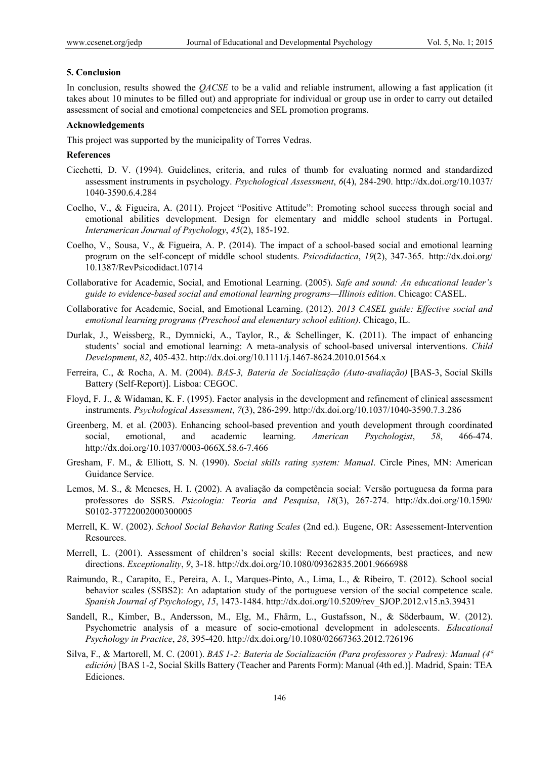## **5. Conclusion**

In conclusion, results showed the *QACSE* to be a valid and reliable instrument, allowing a fast application (it takes about 10 minutes to be filled out) and appropriate for individual or group use in order to carry out detailed assessment of social and emotional competencies and SEL promotion programs.

## **Acknowledgements**

This project was supported by the municipality of Torres Vedras.

#### **References**

- Cicchetti, D. V. (1994). Guidelines, criteria, and rules of thumb for evaluating normed and standardized assessment instruments in psychology. *Psychological Assessment*, *6*(4), 284-290. http://dx.doi.org/10.1037/ 1040-3590.6.4.284
- Coelho, V., & Figueira, A. (2011). Project "Positive Attitude": Promoting school success through social and emotional abilities development. Design for elementary and middle school students in Portugal. *Interamerican Journal of Psychology*, *45*(2), 185-192.
- Coelho, V., Sousa, V., & Figueira, A. P. (2014). The impact of a school-based social and emotional learning program on the self-concept of middle school students. *Psicodidactica*, *19*(2), 347-365. http://dx.doi.org/ 10.1387/RevPsicodidact.10714
- Collaborative for Academic, Social, and Emotional Learning. (2005). *Safe and sound: An educational leader's guide to evidence-based social and emotional learning programs—Illinois edition*. Chicago: CASEL.
- Collaborative for Academic, Social, and Emotional Learning. (2012). *2013 CASEL guide: Effective social and emotional learning programs (Preschool and elementary school edition)*. Chicago, IL.
- Durlak, J., Weissberg, R., Dymnicki, A., Taylor, R., & Schellinger, K. (2011). The impact of enhancing students' social and emotional learning: A meta-analysis of school-based universal interventions. *Child Development*, *82*, 405-432. http://dx.doi.org/10.1111/j.1467-8624.2010.01564.x
- Ferreira, C., & Rocha, A. M. (2004). *BAS-3, Bateria de Socialização (Auto-avaliação)* [BAS-3, Social Skills Battery (Self-Report)]. Lisboa: CEGOC.
- Floyd, F. J., & Widaman, K. F. (1995). Factor analysis in the development and refinement of clinical assessment instruments. *Psychological Assessment*, *7*(3), 286-299. http://dx.doi.org/10.1037/1040-3590.7.3.286
- Greenberg, M. et al. (2003). Enhancing school-based prevention and youth development through coordinated social, emotional, and academic learning. *American Psychologist*, *58*, 466-474. http://dx.doi.org/10.1037/0003-066X.58.6-7.466
- Gresham, F. M., & Elliott, S. N. (1990). *Social skills rating system: Manual*. Circle Pines, MN: American Guidance Service.
- Lemos, M. S., & Meneses, H. I. (2002). A avaliação da competência social: Versão portuguesa da forma para professores do SSRS. *Psicologia: Teoria and Pesquisa*, *18*(3), 267-274. http://dx.doi.org/10.1590/ S0102-37722002000300005
- Merrell, K. W. (2002). *School Social Behavior Rating Scales* (2nd ed.)*.* Eugene, OR: Assessement-Intervention Resources.
- Merrell, L. (2001). Assessment of children's social skills: Recent developments, best practices, and new directions. *Exceptionality*, *9*, 3-18. http://dx.doi.org/10.1080/09362835.2001.9666988
- Raimundo, R., Carapito, E., Pereira, A. I., Marques-Pinto, A., Lima, L., & Ribeiro, T. (2012). School social behavior scales (SSBS2): An adaptation study of the portuguese version of the social competence scale. *Spanish Journal of Psychology*, *15*, 1473-1484. http://dx.doi.org/10.5209/rev\_SJOP.2012.v15.n3.39431
- Sandell, R., Kimber, B., Andersson, M., Elg, M., Fhärm, L., Gustafsson, N., & Söderbaum, W. (2012). Psychometric analysis of a measure of socio-emotional development in adolescents. *Educational Psychology in Practice*, *28*, 395-420. http://dx.doi.org/10.1080/02667363.2012.726196
- Silva, F., & Martorell, M. C. (2001). *BAS 1-2: Bateria de Socialización (Para professores y Padres): Manual (4ª edición)* [BAS 1-2, Social Skills Battery (Teacher and Parents Form): Manual (4th ed.)]. Madrid, Spain: TEA Ediciones.